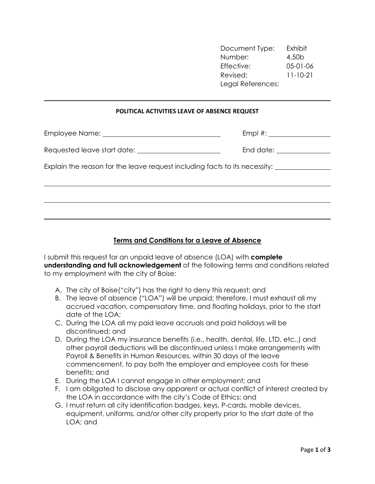Document Type: Exhibit Number: 4.50b Effective: 05-01-06 Revised: 11-10-21 Legal References:

## POLITICAL ACTIVITIES LEAVE OF ABSENCE REQUEST

l

|                                                                            | $Empl \#:$                |  |
|----------------------------------------------------------------------------|---------------------------|--|
|                                                                            | End date: _______________ |  |
| Explain the reason for the leave request including facts to its necessity: |                           |  |
|                                                                            |                           |  |
|                                                                            |                           |  |

## Terms and Conditions for a Leave of Absence

I submit this request for an unpaid leave of absence (LOA) with **complete** understanding and full acknowledgement of the following terms and conditions related to my employment with the city of Boise:

- A. The city of Boise("city") has the right to deny this request; and
- B. The leave of absence ("LOA") will be unpaid; therefore, I must exhaust all my accrued vacation, compensatory time, and floating holidays, prior to the start date of the LOA;
- C. During the LOA all my paid leave accruals and paid holidays will be discontinued; and
- D. During the LOA my insurance benefits (i.e., health, dental, life, LTD, etc.,) and other payroll deductions will be discontinued unless I make arrangements with Payroll & Benefits in Human Resources, within 30 days of the leave commencement, to pay both the employer and employee costs for these benefits; and
- E. During the LOA I cannot engage in other employment; and
- F. I am obligated to disclose any apparent or actual conflict of interest created by the LOA in accordance with the city's Code of Ethics; and
- G. I must return all city identification badges, keys, P-cards, mobile devices, equipment, uniforms, and/or other city property prior to the start date of the LOA; and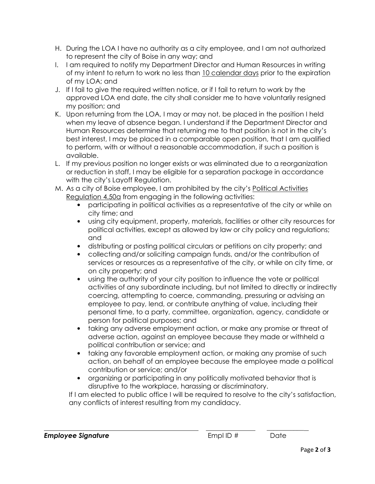- H. During the LOA I have no authority as a city employee, and I am not authorized to represent the city of Boise in any way; and
- I. I am required to notify my Department Director and Human Resources in writing of my intent to return to work no less than 10 calendar days prior to the expiration of my LOA; and
- J. If I fail to give the required written notice, or if I fail to return to work by the approved LOA end date, the city shall consider me to have voluntarily resigned my position; and
- K. Upon returning from the LOA, I may or may not, be placed in the position I held when my leave of absence began. I understand if the Department Director and Human Resources determine that returning me to that position is not in the city's best interest, I may be placed in a comparable open position, that I am qualified to perform, with or without a reasonable accommodation, if such a position is available.
- L. If my previous position no longer exists or was eliminated due to a reorganization or reduction in staff, I may be eligible for a separation package in accordance with the city's Layoff Regulation.
- M. As a city of Boise employee, I am prohibited by the city's Political Activities Regulation 4.50a from engaging in the following activities:
	- participating in political activities as a representative of the city or while on city time; and
	- using city equipment, property, materials, facilities or other city resources for political activities, except as allowed by law or city policy and regulations; and
	- distributing or posting political circulars or petitions on city property; and
	- collecting and/or soliciting campaign funds, and/or the contribution of services or resources as a representative of the city, or while on city time, or on city property; and
	- using the authority of your city position to influence the vote or political activities of any subordinate including, but not limited to directly or indirectly coercing, attempting to coerce, commanding, pressuring or advising an employee to pay, lend, or contribute anything of value, including their personal time, to a party, committee, organization, agency, candidate or person for political purposes; and
	- taking any adverse employment action, or make any promise or threat of adverse action, against an employee because they made or withheld a political contribution or service; and
	- taking any favorable employment action, or making any promise of such action, on behalf of an employee because the employee made a political contribution or service; and/or
	- organizing or participating in any politically motivated behavior that is disruptive to the workplace, harassing or discriminatory.

If I am elected to public office I will be required to resolve to the city's satisfaction, any conflicts of interest resulting from my candidacy.